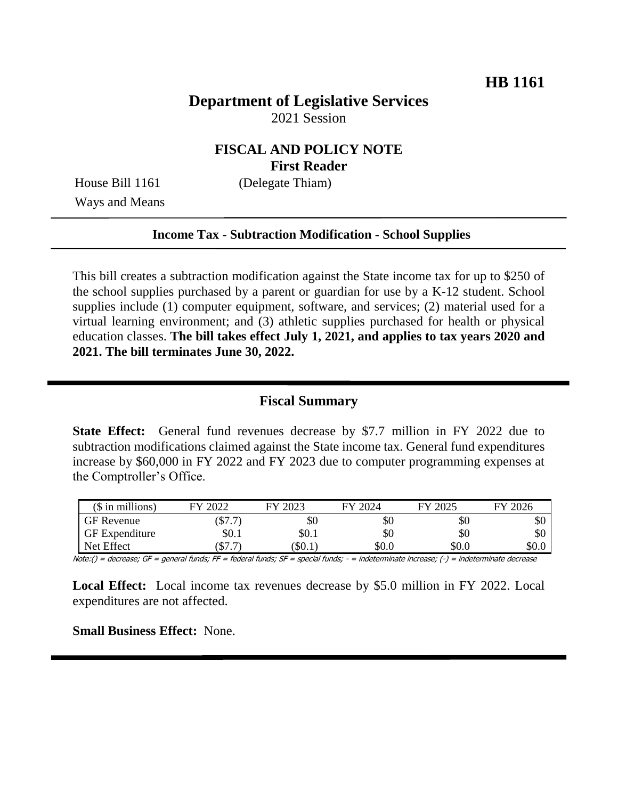# **Department of Legislative Services** 2021 Session

### **FISCAL AND POLICY NOTE First Reader**

House Bill 1161 (Delegate Thiam) Ways and Means

#### **Income Tax - Subtraction Modification - School Supplies**

This bill creates a subtraction modification against the State income tax for up to \$250 of the school supplies purchased by a parent or guardian for use by a K-12 student. School supplies include (1) computer equipment, software, and services; (2) material used for a virtual learning environment; and (3) athletic supplies purchased for health or physical education classes. **The bill takes effect July 1, 2021, and applies to tax years 2020 and 2021. The bill terminates June 30, 2022.** 

#### **Fiscal Summary**

**State Effect:** General fund revenues decrease by \$7.7 million in FY 2022 due to subtraction modifications claimed against the State income tax. General fund expenditures increase by \$60,000 in FY 2022 and FY 2023 due to computer programming expenses at the Comptroller's Office.

| $$$ in millions)      | 2022<br>ГV            | 2023<br>FУ | FY 2024 | FY 2025 | 12026<br>FУ. |
|-----------------------|-----------------------|------------|---------|---------|--------------|
| <b>GF Revenue</b>     | ′ ተ<br>$. \Phi$ / . / | \$0        | \$0     | \$0     | \$0          |
| <b>GF</b> Expenditure | \$0.1                 | \$0.1      | \$0     | \$0     | \$0          |
| Net Effect            | ሰጣ<br>/ ۹۵۰۰          | \$0.1      | \$0.0   | \$0.0   | \$0.0        |

Note:() = decrease; GF = general funds; FF = federal funds; SF = special funds; - = indeterminate increase;  $(\cdot)$  = indeterminate decrease

**Local Effect:** Local income tax revenues decrease by \$5.0 million in FY 2022. Local expenditures are not affected.

**Small Business Effect:** None.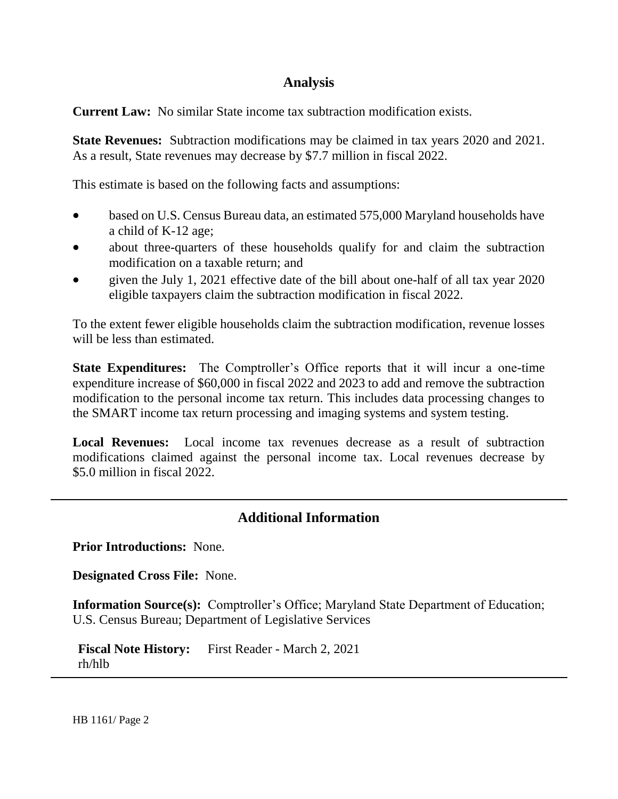### **Analysis**

**Current Law:** No similar State income tax subtraction modification exists.

**State Revenues:** Subtraction modifications may be claimed in tax years 2020 and 2021. As a result, State revenues may decrease by \$7.7 million in fiscal 2022.

This estimate is based on the following facts and assumptions:

- based on U.S. Census Bureau data, an estimated 575,000 Maryland households have a child of K-12 age;
- about three-quarters of these households qualify for and claim the subtraction modification on a taxable return; and
- given the July 1, 2021 effective date of the bill about one-half of all tax year 2020 eligible taxpayers claim the subtraction modification in fiscal 2022.

To the extent fewer eligible households claim the subtraction modification, revenue losses will be less than estimated.

**State Expenditures:** The Comptroller's Office reports that it will incur a one-time expenditure increase of \$60,000 in fiscal 2022 and 2023 to add and remove the subtraction modification to the personal income tax return. This includes data processing changes to the SMART income tax return processing and imaging systems and system testing.

**Local Revenues:** Local income tax revenues decrease as a result of subtraction modifications claimed against the personal income tax. Local revenues decrease by \$5.0 million in fiscal 2022.

## **Additional Information**

**Prior Introductions:** None.

**Designated Cross File:** None.

**Information Source(s):** Comptroller's Office; Maryland State Department of Education; U.S. Census Bureau; Department of Legislative Services

**Fiscal Note History:** First Reader - March 2, 2021 rh/hlb